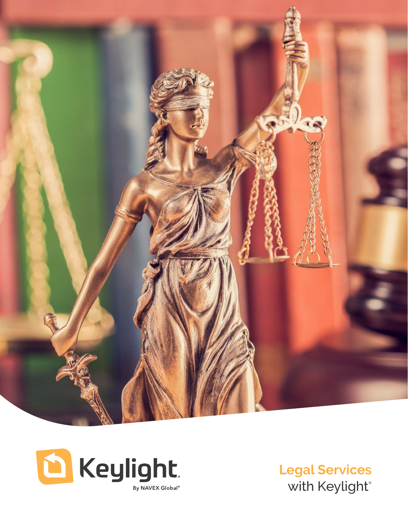



**Legal Services** with Keylight®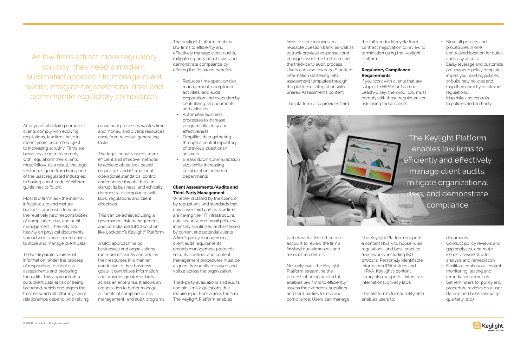After years of helping corporate clients comply with evolving regulations, law firms have in recent years become subject to increasing scrutiny. Firms are being challenged to comply with regulations their clients must follow. As a result, the legal sector has gone from being one of the least regulated industries to having a multitude of different guidelines to follow.

Most law firms lack the internal infrastructure and mature business processes to handle the relatively new responsibilities of compliance, risk, and audit management. They rely too heavily on physical documents, spreadsheets and shared drives to store and manage client data.

These disparate sources of information hinder the process of responding to client risk assessments and preparing for audits. This approach also puts client data at risk of being breached, which endangers the trust on which all attorney-client relationships depend. And relying

on manual processes wastes time and money, and diverts resources away from revenue-generating tasks.

The legal industry needs more efficient and effective methods to achieve objectives based on policies and international operational standards, control and manage threats that can disrupt its business, and ethically demonstrate compliance with laws, regulations and client directives.

This can be achieved using a governance, risk management, and compliance (GRC) solution, like Lockpath's Keylight® Platform.

A GRC approach helps businesses and organizations run more efficiently and deploy their resources in a manner conducive to their business goals. It centralizes information and provides greater visibility across an enterprise. It allows an organization to better manage all facets of compliance, risk management, and audit programs.

The Keylight Platform enables law firms to efficiently and effectively manage client audits, mitigate organizational risks, and demonstrate compliance by offering the following benefits:

- Reduces time spent on risk management, compliance activities, and audit preparation and execution by centralizing all documents and activities
- Automates business processes to increase program efficiency and effectiveness
- Simplifies data gathering through a central repository of previous questions/ answers
- Breaks down communication silos while increasing collaboration between departments

## **Client Assessments/Audits and Third-Party Management**

The Keylight Platform enables law firms to efficiently and effectively manage client audits, mitigate organizational risks, and demonstrate compliance

Whether dictated by the client, or by regulations and standards that now cover third parties, law firms are having their IT infrastructure, data security, and email policies intensely scrutinized and assessed by current and potential clients. A firm's policy management, client audit requirements, records management protocols, security controls, and content management procedures must be aligned, frequently reviewed and visible across the organization.

Third-party evaluations and audits contain similar questions that require input from across the firm. The Keylight Platform enables

firms to store inquiries in a reusable question bank, as well as to track previous responses and changes over time to streamline the third-party audit process. Users can also leverage Standard Information Gathering (SIG) assessment templates through the platform's integration with Shared Assessments content.

The platform also provides third

parties with a limited-access account to review the firm's finished questionnaires and associated controls.

Not only does the Keylight Platform streamline the process of being audited, it enables law firms to efficiently assess their vendors, suppliers and third parties for risk and compliance. Users can manage

the full vendor lifecycle from contract negotiation to review to termination using the Keylight

Platform.



## **Regulatory Compliance Requirements**

If you work with clients that are subject to HIPAA or Gramm-Leach-Bliley, then you, too, must comply with those regulations or risk losing those clients.

The Keylight Platform supports a content library to house rules, regulations, and best-practice frameworks, including ISO 27001/2, Personally Identifiable Information (PII) statues and HIPAA. Keylight's content library also supports extensive international privacy laws.

The platform's functionality also enables users to:

- Store all policies and procedures in one centralized location for quick and easy access.
- Easily leverage and customize pre-mapped policy templates, import your existing policies or build new policies and map them directly to relevant regulations.
- Map risks and controls to policies and authority

documents.

- Conduct policy reviews and gap analyses, and route issues via workflow for analysis and remediation.
- Facilitate continuous control monitoring, testing and remediation exercises.
- Set reminders for policy and procedure reviews on a userdetermined basis (annually, quarterly, etc.).



As law firms attract more regulatory scrutiny, they need a modern, automated approach to manage client audits, mitigate organizational risks and demonstrate regulatory compliance.